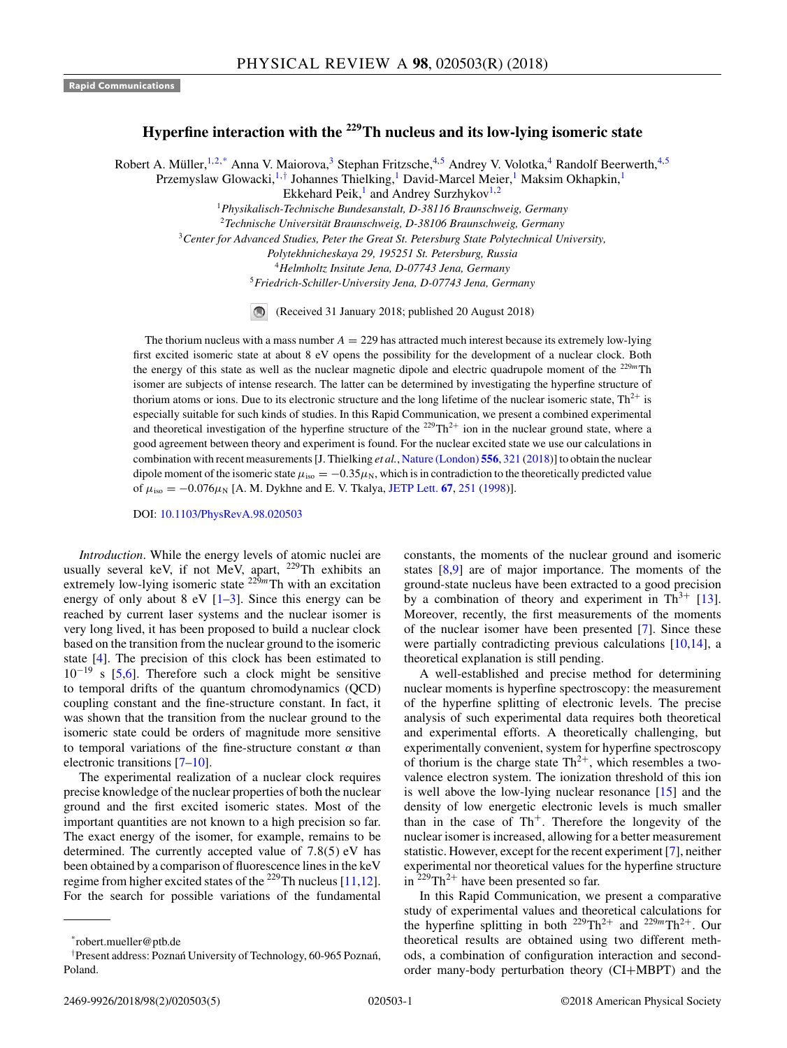## **Hyperfine interaction with the 229Th nucleus and its low-lying isomeric state**

Robert A. Müller,<sup>1,2,\*</sup> Anna V. Maiorova,<sup>3</sup> Stephan Fritzsche,<sup>4,5</sup> Andrey V. Volotka,<sup>4</sup> Randolf Beerwerth,<sup>4,5</sup>

Przemyslaw Glowacki,<sup>1,†</sup> Johannes Thielking,<sup>1</sup> David-Marcel Meier,<sup>1</sup> Maksim Okhapkin,<sup>1</sup>

Ekkehard Peik, $\frac{1}{1}$  and Andrey Surzhykov<sup>1,2</sup>

<sup>1</sup>*Physikalisch-Technische Bundesanstalt, D-38116 Braunschweig, Germany*

<sup>2</sup>*Technische Universität Braunschweig, D-38106 Braunschweig, Germany*

<sup>3</sup>*Center for Advanced Studies, Peter the Great St. Petersburg State Polytechnical University,*

*Polytekhnicheskaya 29, 195251 St. Petersburg, Russia*

<sup>4</sup>*Helmholtz Insitute Jena, D-07743 Jena, Germany*

<sup>5</sup>*Friedrich-Schiller-University Jena, D-07743 Jena, Germany*

(Received 31 January 2018; published 20 August 2018)

The thorium nucleus with a mass number  $A = 229$  has attracted much interest because its extremely low-lying first excited isomeric state at about 8 eV opens the possibility for the development of a nuclear clock. Both the energy of this state as well as the nuclear magnetic dipole and electric quadrupole moment of the <sup>229</sup>*<sup>m</sup>*Th isomer are subjects of intense research. The latter can be determined by investigating the hyperfine structure of thorium atoms or ions. Due to its electronic structure and the long lifetime of the nuclear isomeric state,  $Th^{2+}$  is especially suitable for such kinds of studies. In this Rapid Communication, we present a combined experimental and theoretical investigation of the hyperfine structure of the  $^{229}Th^{2+}$  ion in the nuclear ground state, where a good agreement between theory and experiment is found. For the nuclear excited state we use our calculations in combination with recent measurements [J. Thielking *et al.*, [Nature \(London\)](https://doi.org/10.1038/s41586-018-0011-8) **[556](https://doi.org/10.1038/s41586-018-0011-8)**, [321](https://doi.org/10.1038/s41586-018-0011-8) [\(2018\)](https://doi.org/10.1038/s41586-018-0011-8)] to obtain the nuclear dipole moment of the isomeric state  $\mu_{iso} = -0.35\mu_N$ , which is in contradiction to the theoretically predicted value of  $\mu_{\text{iso}} = -0.076\mu_N$  [A. M. Dykhne and E. V. Tkalya, [JETP Lett.](https://doi.org/10.1134/1.567659) **[67](https://doi.org/10.1134/1.567659)**, [251](https://doi.org/10.1134/1.567659) [\(1998\)](https://doi.org/10.1134/1.567659)].

DOI: [10.1103/PhysRevA.98.020503](https://doi.org/10.1103/PhysRevA.98.020503)

*Introduction*. While the energy levels of atomic nuclei are usually several keV, if not MeV, apart, <sup>229</sup>Th exhibits an extremely low-lying isomeric state  $2^{29m}$ Th with an excitation energy of only about  $8 \text{ eV}$  [\[1–3\]](#page-4-0). Since this energy can be reached by current laser systems and the nuclear isomer is very long lived, it has been proposed to build a nuclear clock based on the transition from the nuclear ground to the isomeric state [\[4\]](#page-4-0). The precision of this clock has been estimated to  $10^{-19}$  s [\[5,6\]](#page-4-0). Therefore such a clock might be sensitive to temporal drifts of the quantum chromodynamics (QCD) coupling constant and the fine-structure constant. In fact, it was shown that the transition from the nuclear ground to the isomeric state could be orders of magnitude more sensitive to temporal variations of the fine-structure constant *α* than electronic transitions [\[7–10\]](#page-4-0).

The experimental realization of a nuclear clock requires precise knowledge of the nuclear properties of both the nuclear ground and the first excited isomeric states. Most of the important quantities are not known to a high precision so far. The exact energy of the isomer, for example, remains to be determined. The currently accepted value of 7*.*8(5) eV has been obtained by a comparison of fluorescence lines in the keV regime from higher excited states of the <sup>229</sup>Th nucleus [\[11,12\]](#page-4-0). For the search for possible variations of the fundamental constants, the moments of the nuclear ground and isomeric states [\[8,9\]](#page-4-0) are of major importance. The moments of the ground-state nucleus have been extracted to a good precision by a combination of theory and experiment in  $Th^{3+}$  [\[13\]](#page-4-0). Moreover, recently, the first measurements of the moments of the nuclear isomer have been presented [\[7\]](#page-4-0). Since these were partially contradicting previous calculations [\[10,14\]](#page-4-0), a theoretical explanation is still pending.

A well-established and precise method for determining nuclear moments is hyperfine spectroscopy: the measurement of the hyperfine splitting of electronic levels. The precise analysis of such experimental data requires both theoretical and experimental efforts. A theoretically challenging, but experimentally convenient, system for hyperfine spectroscopy of thorium is the charge state  $Th^{2+}$ , which resembles a twovalence electron system. The ionization threshold of this ion is well above the low-lying nuclear resonance [\[15\]](#page-4-0) and the density of low energetic electronic levels is much smaller than in the case of  $Th^+$ . Therefore the longevity of the nuclear isomer is increased, allowing for a better measurement statistic. However, except for the recent experiment [\[7\]](#page-4-0), neither experimental nor theoretical values for the hyperfine structure in  $^{229}Th^{2+}$  have been presented so far.

In this Rapid Communication, we present a comparative study of experimental values and theoretical calculations for the hyperfine splitting in both  $229 \text{Th}^{2+}$  and  $229 \text{m} \text{Th}^{2+}$ . Our theoretical results are obtained using two different methods, a combination of configuration interaction and secondorder many-body perturbation theory (CI+MBPT) and the

<sup>\*</sup>robert.mueller@ptb.de

<sup>&</sup>lt;sup>†</sup> Present address: Poznań University of Technology, 60-965 Poznań, Poland.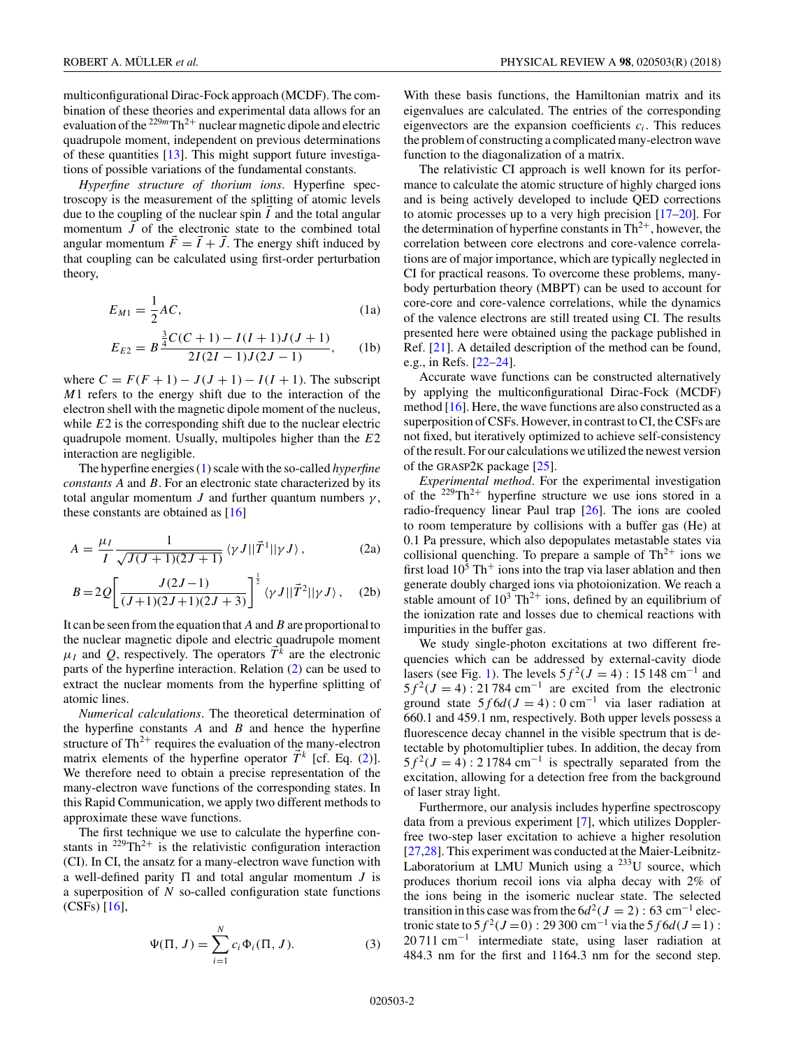<span id="page-1-0"></span>multiconfigurational Dirac-Fock approach (MCDF). The combination of these theories and experimental data allows for an evaluation of the  $229m$ Th<sup>2+</sup> nuclear magnetic dipole and electric quadrupole moment, independent on previous determinations of these quantities [\[13\]](#page-4-0). This might support future investigations of possible variations of the fundamental constants.

*Hyperfine structure of thorium ions*. Hyperfine spectroscopy is the measurement of the splitting of atomic levels due to the coupling of the nuclear spin  $I$  and the total angular momentum  $J$  of the electronic state to the combined total angular momentum  $F = I + J$ . The energy shift induced by that coupling can be calculated using first-order perturbation theory,

$$
E_{M1} = \frac{1}{2}AC,\t\t(1a)
$$

$$
E_{E2} = B \frac{\frac{3}{4}C(C+1) - I(I+1)J(J+1)}{2I(2I-1)J(2J-1)},
$$
 (1b)

where  $C = F(F + 1) - J(J + 1) - I(I + 1)$ . The subscript *M*1 refers to the energy shift due to the interaction of the electron shell with the magnetic dipole moment of the nucleus, while *E*2 is the corresponding shift due to the nuclear electric quadrupole moment. Usually, multipoles higher than the *E*2 interaction are negligible.

The hyperfine energies (1) scale with the so-called *hyperfine constants A* and *B*. For an electronic state characterized by its total angular momentum *J* and further quantum numbers  $\gamma$ , these constants are obtained as [\[16\]](#page-4-0)

$$
A = \frac{\mu_I}{I} \frac{1}{\sqrt{J(J+1)(2J+1)}} \left\langle \gamma J || \vec{T}^1 || \gamma J \right\rangle, \tag{2a}
$$

$$
B = 2Q \left[ \frac{J(2J-1)}{(J+1)(2J+1)(2J+3)} \right]^{\frac{1}{2}} \langle \gamma J || \vec{T}^2 || \gamma J \rangle , \quad (2b)
$$

It can be seen from the equation that *A* and*B* are proportional to the nuclear magnetic dipole and electric quadrupole moment  $\mu_I$  and *Q*, respectively. The operators  $\vec{T}^k$  are the electronic parts of the hyperfine interaction. Relation (2) can be used to extract the nuclear moments from the hyperfine splitting of atomic lines.

*Numerical calculations*. The theoretical determination of the hyperfine constants *A* and *B* and hence the hyperfine structure of  $Th^{2+}$  requires the evaluation of the many-electron matrix elements of the hyperfine operator  $\vec{T}^k$  [cf. Eq. (2)]. We therefore need to obtain a precise representation of the many-electron wave functions of the corresponding states. In this Rapid Communication, we apply two different methods to approximate these wave functions.

The first technique we use to calculate the hyperfine constants in  $^{229}Th^{2+}$  is the relativistic configuration interaction (CI). In CI, the ansatz for a many-electron wave function with a well-defined parity  $\Pi$  and total angular momentum  $J$  is a superposition of *N* so-called configuration state functions (CSFs) [\[16\]](#page-4-0),

$$
\Psi(\Pi, J) = \sum_{i=1}^{N} c_i \Phi_i(\Pi, J). \tag{3}
$$

With these basis functions, the Hamiltonian matrix and its eigenvalues are calculated. The entries of the corresponding eigenvectors are the expansion coefficients *ci*. This reduces the problem of constructing a complicated many-electron wave function to the diagonalization of a matrix.

The relativistic CI approach is well known for its performance to calculate the atomic structure of highly charged ions and is being actively developed to include QED corrections to atomic processes up to a very high precision [\[17–20\]](#page-4-0). For the determination of hyperfine constants in  $Th^{2+}$ , however, the correlation between core electrons and core-valence correlations are of major importance, which are typically neglected in CI for practical reasons. To overcome these problems, manybody perturbation theory (MBPT) can be used to account for core-core and core-valence correlations, while the dynamics of the valence electrons are still treated using CI. The results presented here were obtained using the package published in Ref. [\[21\]](#page-4-0). A detailed description of the method can be found, e.g., in Refs. [\[22–24\]](#page-4-0).

Accurate wave functions can be constructed alternatively by applying the multiconfigurational Dirac-Fock (MCDF) method  $[16]$ . Here, the wave functions are also constructed as a superposition of CSFs. However, in contrast to CI, the CSFs are not fixed, but iteratively optimized to achieve self-consistency of the result. For our calculations we utilized the newest version of the GRASP2K package [\[25\]](#page-4-0).

*Experimental method*. For the experimental investigation of the  $229 \text{Th}^{2+}$  hyperfine structure we use ions stored in a radio-frequency linear Paul trap [\[26\]](#page-4-0). The ions are cooled to room temperature by collisions with a buffer gas (He) at 0.1 Pa pressure, which also depopulates metastable states via collisional quenching. To prepare a sample of  $Th^{2+}$  ions we first load  $10<sup>5</sup>$  Th<sup>+</sup> ions into the trap via laser ablation and then generate doubly charged ions via photoionization. We reach a stable amount of  $10^3$  Th<sup>2+</sup> ions, defined by an equilibrium of the ionization rate and losses due to chemical reactions with impurities in the buffer gas.

We study single-photon excitations at two different frequencies which can be addressed by external-cavity diode lasers (see Fig. [1\)](#page-2-0). The levels  $5f^2$ (*J* = 4) : 15 148 cm<sup>−1</sup> and  $5f^2(J=4)$ : 21 784 cm<sup>-1</sup> are excited from the electronic ground state  $5f6d(J = 4): 0 \text{ cm}^{-1}$  via laser radiation at 660.1 and 459.1 nm, respectively. Both upper levels possess a fluorescence decay channel in the visible spectrum that is detectable by photomultiplier tubes. In addition, the decay from  $5f^2(J=4)$ : 2 1784 cm<sup>-1</sup> is spectrally separated from the excitation, allowing for a detection free from the background of laser stray light.

Furthermore, our analysis includes hyperfine spectroscopy data from a previous experiment [\[7\]](#page-4-0), which utilizes Dopplerfree two-step laser excitation to achieve a higher resolution [\[27,28\]](#page-4-0). This experiment was conducted at the Maier-Leibnitz-Laboratorium at LMU Munich using a <sup>233</sup>U source, which produces thorium recoil ions via alpha decay with 2% of the ions being in the isomeric nuclear state. The selected transition in this case was from the  $6d^2(J = 2)$ : 63 cm<sup>-1</sup> electronic state to  $5f^2(J=0)$ : 29 300 cm<sup>-1</sup> via the  $5f6d(J=1)$ :  $20711 \text{ cm}^{-1}$  intermediate state, using laser radiation at 484.3 nm for the first and 1164.3 nm for the second step.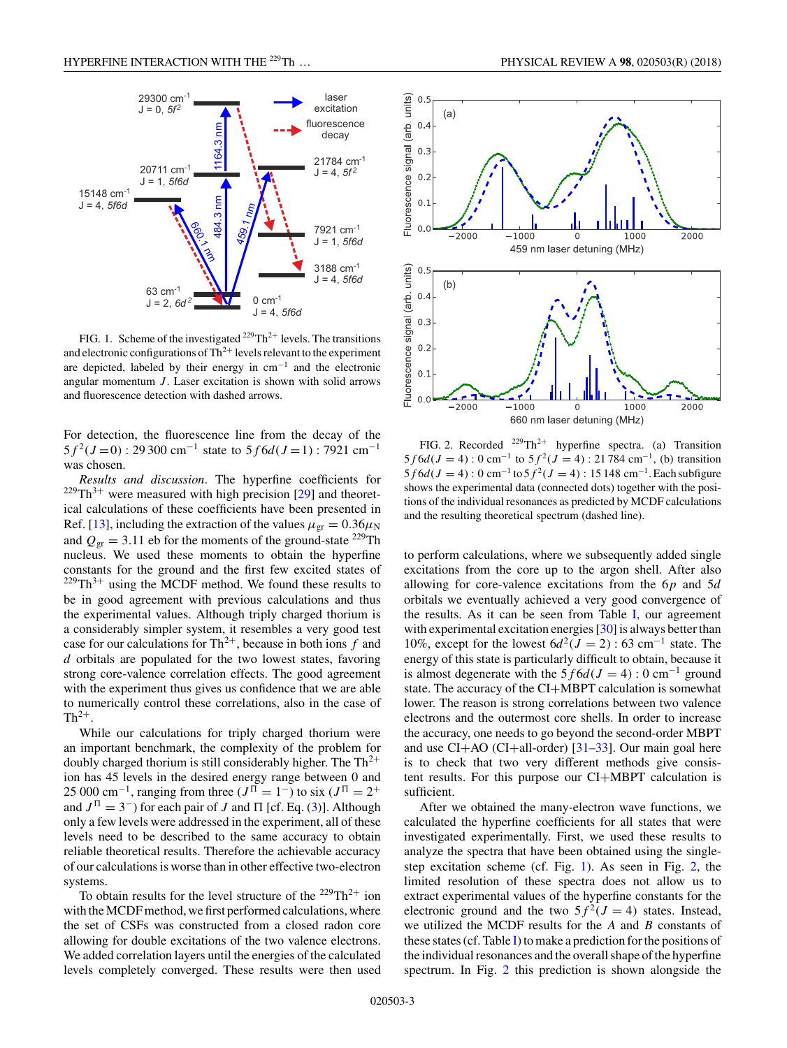<span id="page-2-0"></span>

FIG. 1. Scheme of the investigated  $^{229}Th^{2+}$  levels. The transitions and electronic configurations of  $Th^{2+}$  levels relevant to the experiment are depicted, labeled by their energy in cm−<sup>1</sup> and the electronic angular momentum *J*. Laser excitation is shown with solid arrows and fluorescence detection with dashed arrows.

For detection, the fluorescence line from the decay of the  $5f^{2}(J=0)$ : 29 300 cm<sup>-1</sup> state to  $5f6d(J=1)$ : 7921 cm<sup>-1</sup> was chosen.

*Results and discussion*. The hyperfine coefficients for  $229 \text{Th}^{3+}$  were measured with high precision [\[29\]](#page-4-0) and theoretical calculations of these coefficients have been presented in Ref. [\[13\]](#page-4-0), including the extraction of the values  $\mu_{\text{gr}} = 0.36 \mu_{\text{N}}$ and  $Q_{\text{gr}} = 3.11$  eb for the moments of the ground-state <sup>229</sup>Th nucleus. We used these moments to obtain the hyperfine constants for the ground and the first few excited states of  $^{229}Th^{3+}$  using the MCDF method. We found these results to be in good agreement with previous calculations and thus the experimental values. Although triply charged thorium is a considerably simpler system, it resembles a very good test case for our calculations for  $Th^{2+}$ , because in both ions  $f$  and *d* orbitals are populated for the two lowest states, favoring strong core-valence correlation effects. The good agreement with the experiment thus gives us confidence that we are able to numerically control these correlations, also in the case of  $Th^{2+}$ .

While our calculations for triply charged thorium were an important benchmark, the complexity of the problem for doubly charged thorium is still considerably higher. The  $Th^{2+}$ ion has 45 levels in the desired energy range between 0 and 25 000 cm<sup>-1</sup>, ranging from three ( $J^{\Pi} = 1^-$ ) to six ( $J^{\Pi} = 2^+$ and  $J^{\Pi} = 3^-$  for each pair of *J* and  $\Pi$  [cf. Eq. [\(3\)](#page-1-0)]. Although only a few levels were addressed in the experiment, all of these levels need to be described to the same accuracy to obtain reliable theoretical results. Therefore the achievable accuracy of our calculations is worse than in other effective two-electron systems.

To obtain results for the level structure of the  $229 \text{Th}^{2+}$  ion with the MCDF method, we first performed calculations, where the set of CSFs was constructed from a closed radon core allowing for double excitations of the two valence electrons. We added correlation layers until the energies of the calculated levels completely converged. These results were then used



660 nm laser detuning (MHz) FIG. 2. Recorded  $^{229}Th^{2+}$  hyperfine spectra. (a) Transition  $5f6d(J = 4)$ : 0 cm<sup>-1</sup> to  $5f^2(J = 4)$ : 21 784 cm<sup>-1</sup>, (b) transition  $5f6d(J = 4)$ : 0 cm<sup>-1</sup> to  $5f^2(J = 4)$ : 15 148 cm<sup>-1</sup>. Each subfigure

 $\Omega$ 

1000

2000

shows the experimental data (connected dots) together with the positions of the individual resonances as predicted by MCDF calculations

and the resulting theoretical spectrum (dashed line).

 $-1000$ 

 $0.2$  $0.1$  $0.0$ 

 $-2000$ 

to perform calculations, where we subsequently added single excitations from the core up to the argon shell. After also allowing for core-valence excitations from the 6*p* and 5*d* orbitals we eventually achieved a very good convergence of the results. As it can be seen from Table [I,](#page-3-0) our agreement with experimental excitation energies [\[30\]](#page-4-0) is always better than 10%, except for the lowest  $6d^2(J = 2)$ : 63 cm<sup>-1</sup> state. The energy of this state is particularly difficult to obtain, because it is almost degenerate with the  $5 f 6 d(J = 4) : 0 \text{ cm}^{-1}$  ground state. The accuracy of the CI+MBPT calculation is somewhat lower. The reason is strong correlations between two valence electrons and the outermost core shells. In order to increase the accuracy, one needs to go beyond the second-order MBPT and use  $CI+AO$  ( $CI+all-order$ ) [\[31–33\]](#page-4-0). Our main goal here is to check that two very different methods give consistent results. For this purpose our CI+MBPT calculation is sufficient.

After we obtained the many-electron wave functions, we calculated the hyperfine coefficients for all states that were investigated experimentally. First, we used these results to analyze the spectra that have been obtained using the singlestep excitation scheme (cf. Fig. 1). As seen in Fig. 2, the limited resolution of these spectra does not allow us to extract experimental values of the hyperfine constants for the electronic ground and the two  $5f^2(J = 4)$  states. Instead, we utilized the MCDF results for the *A* and *B* constants of these states (cf. Table [I\)](#page-3-0) to make a prediction for the positions of the individual resonances and the overall shape of the hyperfine spectrum. In Fig. 2 this prediction is shown alongside the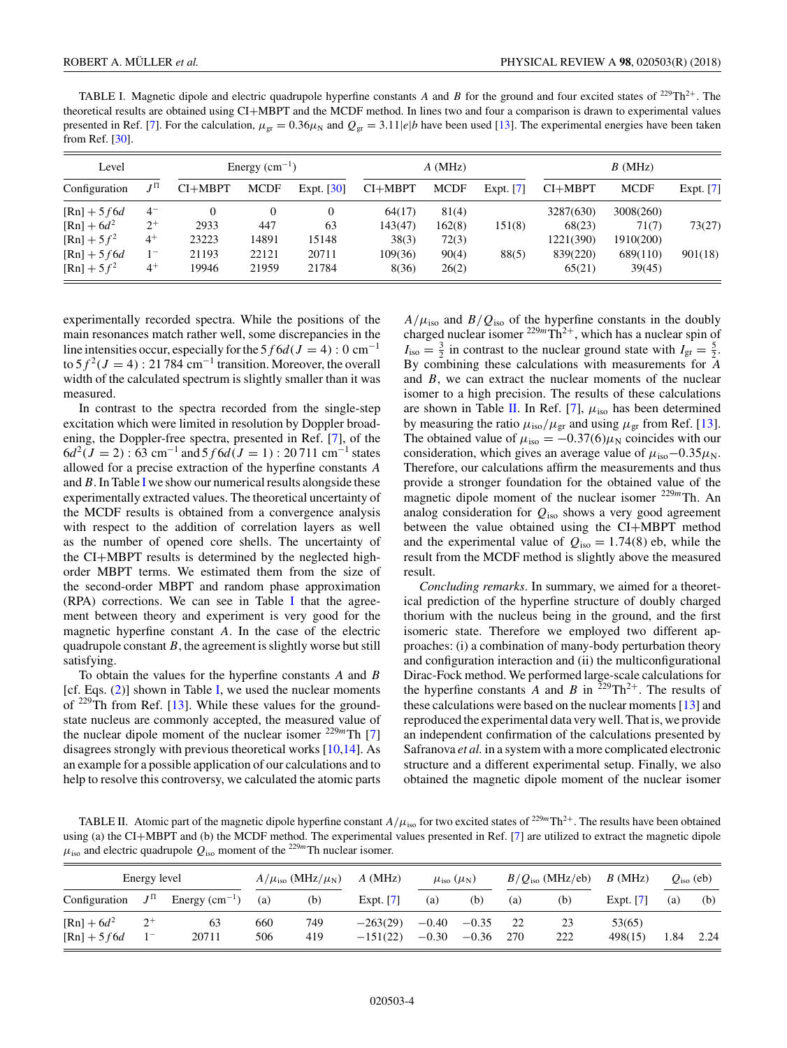<span id="page-3-0"></span>TABLE I. Magnetic dipole and electric quadrupole hyperfine constants *A* and *B* for the ground and four excited states of <sup>229</sup>Th<sup>2+</sup>. The theoretical results are obtained using CI+MBPT and the MCDF method. In lines two and four a comparison is drawn to experimental values presented in Ref. [\[7\]](#page-4-0). For the calculation,  $\mu_{gr} = 0.36\mu_N$  and  $Q_{gr} = 3.11|e|b$  have been used [\[13\]](#page-4-0). The experimental energies have been taken from Ref. [\[30\]](#page-4-0).

| Level               |           | Energy $(cm-1)$ |             |                          |           | $A$ (MHz)   |             | B(MHz)    |             |           |  |
|---------------------|-----------|-----------------|-------------|--------------------------|-----------|-------------|-------------|-----------|-------------|-----------|--|
| Configuration       | $J^{\Pi}$ | $CI+MBPT$       | <b>MCDF</b> | Expt. $\lceil 30 \rceil$ | $CI+MBPT$ | <b>MCDF</b> | Expt. $[7]$ | $CI+MBPT$ | <b>MCDF</b> | Expt. [7] |  |
| $[Rn] + 5f6d$       | $4^{-}$   |                 | $\theta$    | $\overline{0}$           | 64(17)    | 81(4)       |             | 3287(630) | 3008(260)   |           |  |
| $[Rn] + 6d^2$       | $2^{+}$   | 2933            | 447         | 63                       | 143(47)   | 162(8)      | 151(8)      | 68(23)    | 71(7)       | 73(27)    |  |
| $[{\rm Rn}] + 5f^2$ | $4^+$     | 23223           | 14891       | 15148                    | 38(3)     | 72(3)       |             | 1221(390) | 1910(200)   |           |  |
| $[Rn] + 5f6d$       | $1^{-}$   | 21193           | 22121       | 20711                    | 109(36)   | 90(4)       | 88(5)       | 839(220)  | 689(110)    | 901(18)   |  |
| $[{\rm Rn}] + 5f^2$ | $4^+$     | 19946           | 21959       | 21784                    | 8(36)     | 26(2)       |             | 65(21)    | 39(45)      |           |  |

experimentally recorded spectra. While the positions of the main resonances match rather well, some discrepancies in the line intensities occur, especially for the  $5 f 6 d(J = 4) : 0 \text{ cm}^{-1}$ to  $5f^2(J = 4)$ : 21 784 cm<sup>-1</sup> transition. Moreover, the overall width of the calculated spectrum is slightly smaller than it was measured.

In contrast to the spectra recorded from the single-step excitation which were limited in resolution by Doppler broadening, the Doppler-free spectra, presented in Ref. [\[7\]](#page-4-0), of the  $6d^{2}(J = 2)$ : 63 cm<sup>-1</sup> and 5 f 6 $d(J = 1)$ : 20 711 cm<sup>-1</sup> states allowed for a precise extraction of the hyperfine constants *A* and*B*. In Table I we show our numerical results alongside these experimentally extracted values. The theoretical uncertainty of the MCDF results is obtained from a convergence analysis with respect to the addition of correlation layers as well as the number of opened core shells. The uncertainty of the CI+MBPT results is determined by the neglected highorder MBPT terms. We estimated them from the size of the second-order MBPT and random phase approximation (RPA) corrections. We can see in Table I that the agreement between theory and experiment is very good for the magnetic hyperfine constant *A*. In the case of the electric quadrupole constant *B*, the agreement is slightly worse but still satisfying.

To obtain the values for the hyperfine constants *A* and *B* [cf. Eqs.  $(2)$ ] shown in Table I, we used the nuclear moments of  $^{229}$ Th from Ref. [\[13\]](#page-4-0). While these values for the groundstate nucleus are commonly accepted, the measured value of the nuclear dipole moment of the nuclear isomer  $229m$ Th [\[7\]](#page-4-0) disagrees strongly with previous theoretical works [\[10,14\]](#page-4-0). As an example for a possible application of our calculations and to help to resolve this controversy, we calculated the atomic parts

 $A/\mu_{\text{iso}}$  and  $B/Q_{\text{iso}}$  of the hyperfine constants in the doubly charged nuclear isomer  $2^{29m}Th^{2+}$ , which has a nuclear spin of  $I_{\text{iso}} = \frac{3}{2}$  in contrast to the nuclear ground state with  $I_{\text{gr}} = \frac{5}{2}$ . By combining these calculations with measurements for *A* and *B*, we can extract the nuclear moments of the nuclear isomer to a high precision. The results of these calculations are shown in Table II. In Ref. [\[7\]](#page-4-0),  $\mu_{iso}$  has been determined by measuring the ratio  $\mu_{\text{iso}}/\mu_{\text{gr}}$  and using  $\mu_{\text{gr}}$  from Ref. [\[13\]](#page-4-0). The obtained value of  $\mu_{iso} = -0.37(6)\mu_N$  coincides with our consideration, which gives an average value of  $\mu_{\rm iso}$ –0*.*35 $\mu_{\rm N}$ . Therefore, our calculations affirm the measurements and thus provide a stronger foundation for the obtained value of the magnetic dipole moment of the nuclear isomer <sup>229*m*</sup>Th. An analog consideration for *Q*iso shows a very good agreement between the value obtained using the CI+MBPT method and the experimental value of  $Q_{\text{iso}} = 1.74(8)$  eb, while the result from the MCDF method is slightly above the measured result.

*Concluding remarks*. In summary, we aimed for a theoretical prediction of the hyperfine structure of doubly charged thorium with the nucleus being in the ground, and the first isomeric state. Therefore we employed two different approaches: (i) a combination of many-body perturbation theory and configuration interaction and (ii) the multiconfigurational Dirac-Fock method. We performed large-scale calculations for the hyperfine constants *A* and *B* in  $2^{29} \text{Th}^{2+}$ . The results of these calculations were based on the nuclear moments [\[13\]](#page-4-0) and reproduced the experimental data very well. That is, we provide an independent confirmation of the calculations presented by Safranova *et al.* in a system with a more complicated electronic structure and a different experimental setup. Finally, we also obtained the magnetic dipole moment of the nuclear isomer

TABLE II. Atomic part of the magnetic dipole hyperfine constant  $A/\mu_{iso}$  for two excited states of <sup>229*m*</sup>Th<sup>2+</sup>. The results have been obtained using (a) the CI+MBPT and (b) the MCDF method. The experimental values presented in Ref. [\[7\]](#page-4-0) are utilized to extract the magnetic dipole  $\mu_{\text{iso}}$  and electric quadrupole  $Q_{\text{iso}}$  moment of the <sup>229*m*</sup>Th nuclear isomer.

| Energy level                    |                                   |                 | $A/\mu_{\rm iso}$ (MHz/ $\mu_{\rm N}$ ) |            | $A$ (MHz)                |                    | $\mu_{\rm iso}$ $(\mu_{\rm N})$ |     | $B/Q_{\text{iso}}$ (MHz/eb) | B(MHz)            | $Qiso$ (eb) |      |
|---------------------------------|-----------------------------------|-----------------|-----------------------------------------|------------|--------------------------|--------------------|---------------------------------|-----|-----------------------------|-------------------|-------------|------|
| Configuration                   | $J^{\Pi}$                         | Energy $(cm-1)$ | (a)                                     | (b)        | Expt. $[7]$              | (a)                | (b)                             | (a) | (b)                         | Expt. $[7]$       | (a)         | (b)  |
| $[Rn] + 6d^2$<br>$[Rn] + 5 f6d$ | $2^+$<br>$\overline{\phantom{m}}$ | 63<br>20711     | 660<br>506                              | 749<br>419 | $-263(29)$<br>$-151(22)$ | $-0.40$<br>$-0.30$ | $-0.35$<br>$-0.36$              | 270 | 23<br>222                   | 53(65)<br>498(15) | 1.84        | 2.24 |